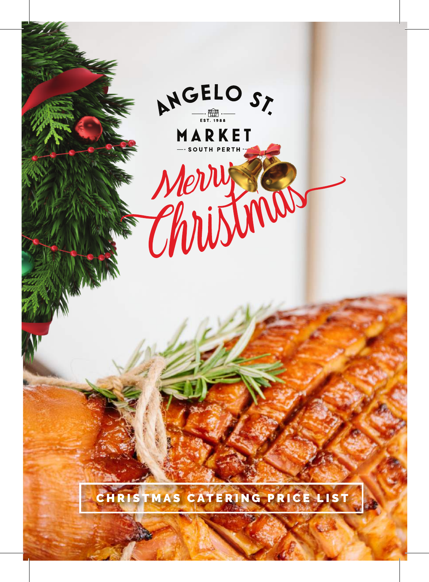